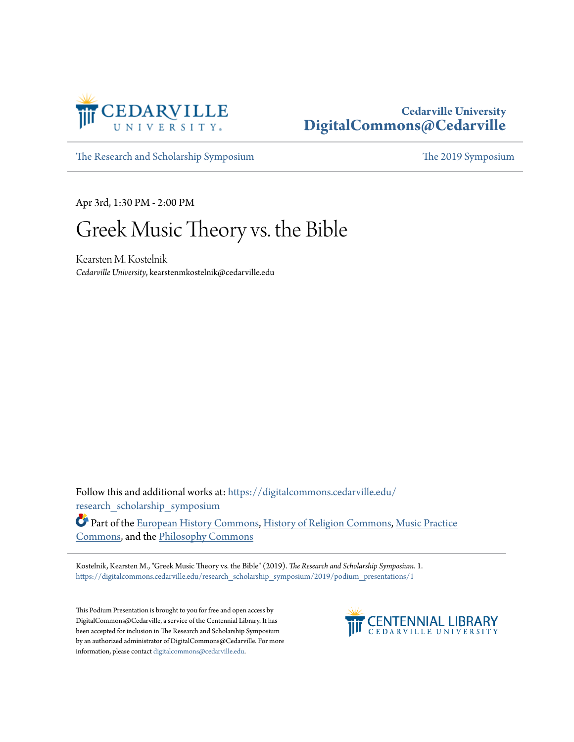

## **Cedarville University [DigitalCommons@Cedarville](https://digitalcommons.cedarville.edu?utm_source=digitalcommons.cedarville.edu%2Fresearch_scholarship_symposium%2F2019%2Fpodium_presentations%2F1&utm_medium=PDF&utm_campaign=PDFCoverPages)**

[The Research and Scholarship Symposium](https://digitalcommons.cedarville.edu/research_scholarship_symposium?utm_source=digitalcommons.cedarville.edu%2Fresearch_scholarship_symposium%2F2019%2Fpodium_presentations%2F1&utm_medium=PDF&utm_campaign=PDFCoverPages) [The 2019 Symposium](https://digitalcommons.cedarville.edu/research_scholarship_symposium/2019?utm_source=digitalcommons.cedarville.edu%2Fresearch_scholarship_symposium%2F2019%2Fpodium_presentations%2F1&utm_medium=PDF&utm_campaign=PDFCoverPages)

Apr 3rd, 1:30 PM - 2:00 PM

## Greek Music Theory vs. the Bible

Kearsten M. Kostelnik *Cedarville University*, kearstenmkostelnik@cedarville.edu

Follow this and additional works at: [https://digitalcommons.cedarville.edu/](https://digitalcommons.cedarville.edu/research_scholarship_symposium?utm_source=digitalcommons.cedarville.edu%2Fresearch_scholarship_symposium%2F2019%2Fpodium_presentations%2F1&utm_medium=PDF&utm_campaign=PDFCoverPages) [research\\_scholarship\\_symposium](https://digitalcommons.cedarville.edu/research_scholarship_symposium?utm_source=digitalcommons.cedarville.edu%2Fresearch_scholarship_symposium%2F2019%2Fpodium_presentations%2F1&utm_medium=PDF&utm_campaign=PDFCoverPages)

Part of the [European History Commons](http://network.bepress.com/hgg/discipline/492?utm_source=digitalcommons.cedarville.edu%2Fresearch_scholarship_symposium%2F2019%2Fpodium_presentations%2F1&utm_medium=PDF&utm_campaign=PDFCoverPages), [History of Religion Commons](http://network.bepress.com/hgg/discipline/499?utm_source=digitalcommons.cedarville.edu%2Fresearch_scholarship_symposium%2F2019%2Fpodium_presentations%2F1&utm_medium=PDF&utm_campaign=PDFCoverPages), [Music Practice](http://network.bepress.com/hgg/discipline/523?utm_source=digitalcommons.cedarville.edu%2Fresearch_scholarship_symposium%2F2019%2Fpodium_presentations%2F1&utm_medium=PDF&utm_campaign=PDFCoverPages) [Commons,](http://network.bepress.com/hgg/discipline/523?utm_source=digitalcommons.cedarville.edu%2Fresearch_scholarship_symposium%2F2019%2Fpodium_presentations%2F1&utm_medium=PDF&utm_campaign=PDFCoverPages) and the [Philosophy Commons](http://network.bepress.com/hgg/discipline/525?utm_source=digitalcommons.cedarville.edu%2Fresearch_scholarship_symposium%2F2019%2Fpodium_presentations%2F1&utm_medium=PDF&utm_campaign=PDFCoverPages)

Kostelnik, Kearsten M., "Greek Music Theory vs. the Bible" (2019). *The Research and Scholarship Symposium*. 1. [https://digitalcommons.cedarville.edu/research\\_scholarship\\_symposium/2019/podium\\_presentations/1](https://digitalcommons.cedarville.edu/research_scholarship_symposium/2019/podium_presentations/1?utm_source=digitalcommons.cedarville.edu%2Fresearch_scholarship_symposium%2F2019%2Fpodium_presentations%2F1&utm_medium=PDF&utm_campaign=PDFCoverPages)

This Podium Presentation is brought to you for free and open access by DigitalCommons@Cedarville, a service of the Centennial Library. It has been accepted for inclusion in The Research and Scholarship Symposium by an authorized administrator of DigitalCommons@Cedarville. For more information, please contact [digitalcommons@cedarville.edu.](mailto:digitalcommons@cedarville.edu)

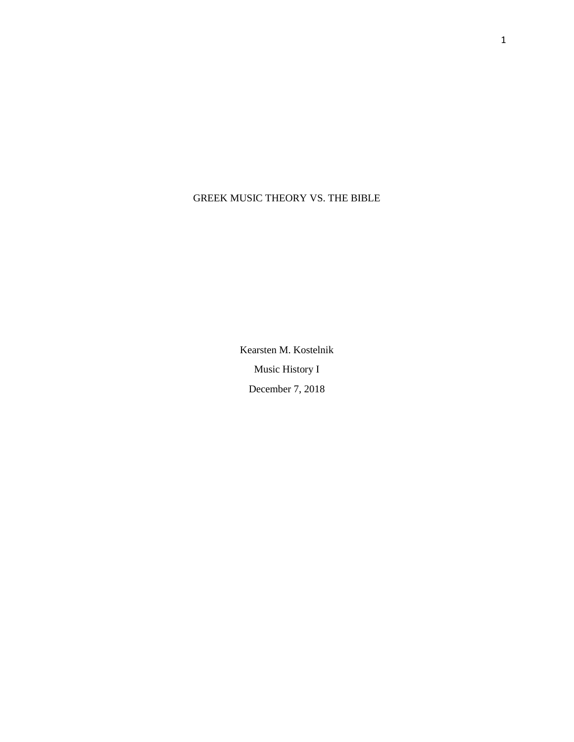## GREEK MUSIC THEORY VS. THE BIBLE

Kearsten M. Kostelnik Music History I December 7, 2018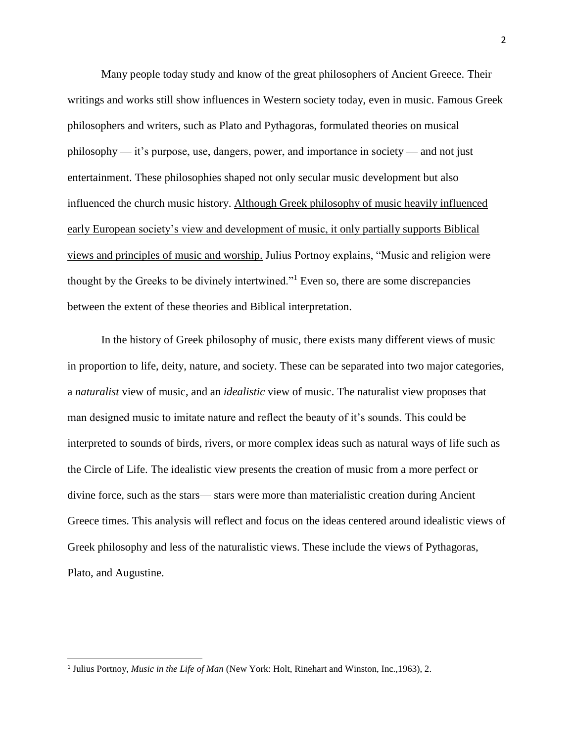Many people today study and know of the great philosophers of Ancient Greece. Their writings and works still show influences in Western society today, even in music. Famous Greek philosophers and writers, such as Plato and Pythagoras, formulated theories on musical philosophy — it's purpose, use, dangers, power, and importance in society — and not just entertainment. These philosophies shaped not only secular music development but also influenced the church music history. Although Greek philosophy of music heavily influenced early European society's view and development of music, it only partially supports Biblical views and principles of music and worship. Julius Portnoy explains, "Music and religion were thought by the Greeks to be divinely intertwined."<sup>1</sup> Even so, there are some discrepancies between the extent of these theories and Biblical interpretation.

In the history of Greek philosophy of music, there exists many different views of music in proportion to life, deity, nature, and society. These can be separated into two major categories, a *naturalist* view of music, and an *idealistic* view of music. The naturalist view proposes that man designed music to imitate nature and reflect the beauty of it's sounds. This could be interpreted to sounds of birds, rivers, or more complex ideas such as natural ways of life such as the Circle of Life. The idealistic view presents the creation of music from a more perfect or divine force, such as the stars— stars were more than materialistic creation during Ancient Greece times. This analysis will reflect and focus on the ideas centered around idealistic views of Greek philosophy and less of the naturalistic views. These include the views of Pythagoras, Plato, and Augustine.

<sup>1</sup> Julius Portnoy, *Music in the Life of Man* (New York: Holt, Rinehart and Winston, Inc.,1963), 2.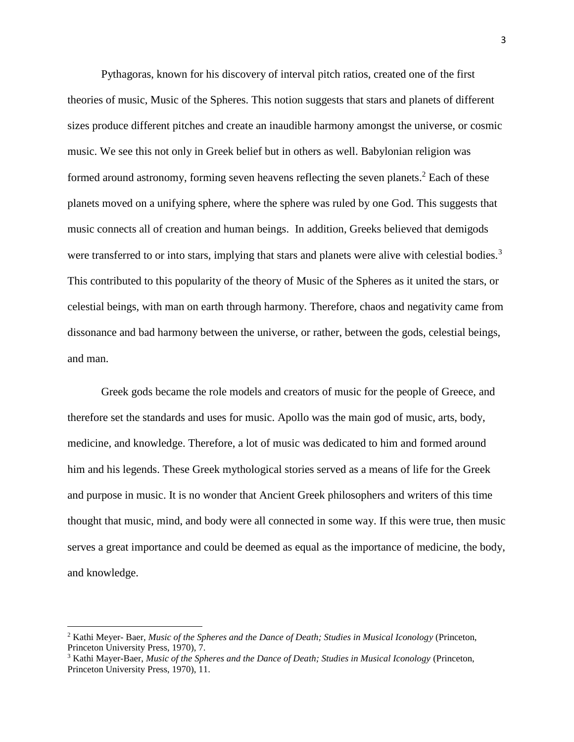Pythagoras, known for his discovery of interval pitch ratios, created one of the first theories of music, Music of the Spheres. This notion suggests that stars and planets of different sizes produce different pitches and create an inaudible harmony amongst the universe, or cosmic music. We see this not only in Greek belief but in others as well. Babylonian religion was formed around astronomy, forming seven heavens reflecting the seven planets.<sup>2</sup> Each of these planets moved on a unifying sphere, where the sphere was ruled by one God. This suggests that music connects all of creation and human beings. In addition, Greeks believed that demigods were transferred to or into stars, implying that stars and planets were alive with celestial bodies.<sup>3</sup> This contributed to this popularity of the theory of Music of the Spheres as it united the stars, or celestial beings, with man on earth through harmony. Therefore, chaos and negativity came from dissonance and bad harmony between the universe, or rather, between the gods, celestial beings, and man.

Greek gods became the role models and creators of music for the people of Greece, and therefore set the standards and uses for music. Apollo was the main god of music, arts, body, medicine, and knowledge. Therefore, a lot of music was dedicated to him and formed around him and his legends. These Greek mythological stories served as a means of life for the Greek and purpose in music. It is no wonder that Ancient Greek philosophers and writers of this time thought that music, mind, and body were all connected in some way. If this were true, then music serves a great importance and could be deemed as equal as the importance of medicine, the body, and knowledge.

<sup>2</sup> Kathi Meyer- Baer, *Music of the Spheres and the Dance of Death; Studies in Musical Iconology* (Princeton, Princeton University Press, 1970), 7.

<sup>3</sup> Kathi Mayer-Baer, *Music of the Spheres and the Dance of Death; Studies in Musical Iconology* (Princeton, Princeton University Press, 1970), 11.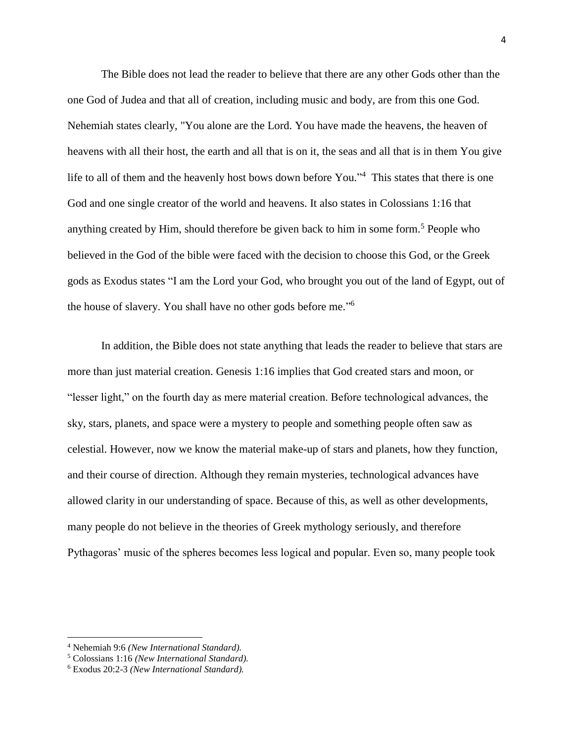The Bible does not lead the reader to believe that there are any other Gods other than the one God of Judea and that all of creation, including music and body, are from this one God. Nehemiah states clearly, "You alone are the Lord. You have made the heavens, the heaven of heavens with all their host, the earth and all that is on it, the seas and all that is in them You give life to all of them and the heavenly host bows down before You."<sup>4</sup> This states that there is one God and one single creator of the world and heavens. It also states in Colossians 1:16 that anything created by Him, should therefore be given back to him in some form.<sup>5</sup> People who believed in the God of the bible were faced with the decision to choose this God, or the Greek gods as Exodus states "I am the Lord your God, who brought you out of the land of Egypt, out of the house of slavery. You shall have no other gods before me."<sup>6</sup>

In addition, the Bible does not state anything that leads the reader to believe that stars are more than just material creation. Genesis 1:16 implies that God created stars and moon, or "lesser light," on the fourth day as mere material creation. Before technological advances, the sky, stars, planets, and space were a mystery to people and something people often saw as celestial. However, now we know the material make-up of stars and planets, how they function, and their course of direction. Although they remain mysteries, technological advances have allowed clarity in our understanding of space. Because of this, as well as other developments, many people do not believe in the theories of Greek mythology seriously, and therefore Pythagoras' music of the spheres becomes less logical and popular. Even so, many people took

<sup>4</sup> Nehemiah 9:6 *(New International Standard).*

<sup>5</sup> Colossians 1:16 *(New International Standard).*

<sup>6</sup> Exodus 20:2-3 *(New International Standard).*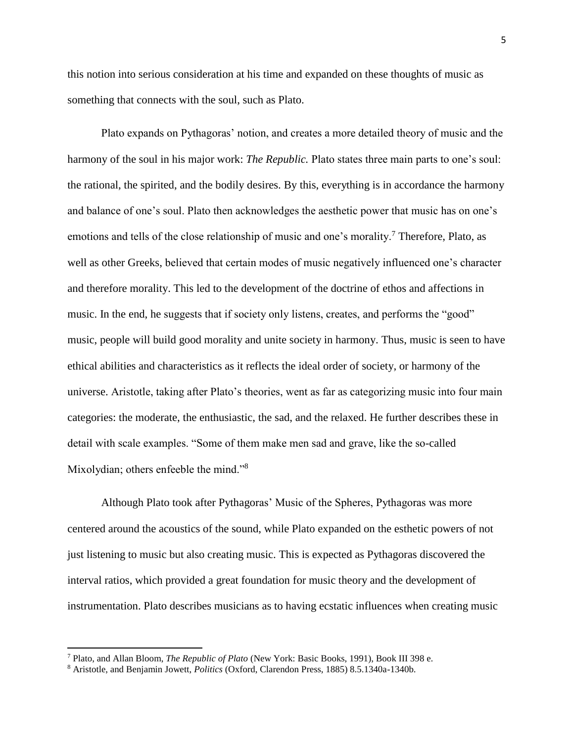this notion into serious consideration at his time and expanded on these thoughts of music as something that connects with the soul, such as Plato.

Plato expands on Pythagoras' notion, and creates a more detailed theory of music and the harmony of the soul in his major work: *The Republic.* Plato states three main parts to one's soul: the rational, the spirited, and the bodily desires. By this, everything is in accordance the harmony and balance of one's soul. Plato then acknowledges the aesthetic power that music has on one's emotions and tells of the close relationship of music and one's morality.<sup>7</sup> Therefore, Plato, as well as other Greeks, believed that certain modes of music negatively influenced one's character and therefore morality. This led to the development of the doctrine of ethos and affections in music. In the end, he suggests that if society only listens, creates, and performs the "good" music, people will build good morality and unite society in harmony. Thus, music is seen to have ethical abilities and characteristics as it reflects the ideal order of society, or harmony of the universe. Aristotle, taking after Plato's theories, went as far as categorizing music into four main categories: the moderate, the enthusiastic, the sad, and the relaxed. He further describes these in detail with scale examples. "Some of them make men sad and grave, like the so-called Mixolydian; others enfeeble the mind."<sup>8</sup>

Although Plato took after Pythagoras' Music of the Spheres, Pythagoras was more centered around the acoustics of the sound, while Plato expanded on the esthetic powers of not just listening to music but also creating music. This is expected as Pythagoras discovered the interval ratios, which provided a great foundation for music theory and the development of instrumentation. Plato describes musicians as to having ecstatic influences when creating music

<sup>7</sup> Plato, and Allan Bloom, *The Republic of Plato* (New York: Basic Books, 1991), Book III 398 e.

<sup>8</sup> Aristotle, and Benjamin Jowett, *Politics* (Oxford, Clarendon Press, 1885) 8.5.1340a-1340b.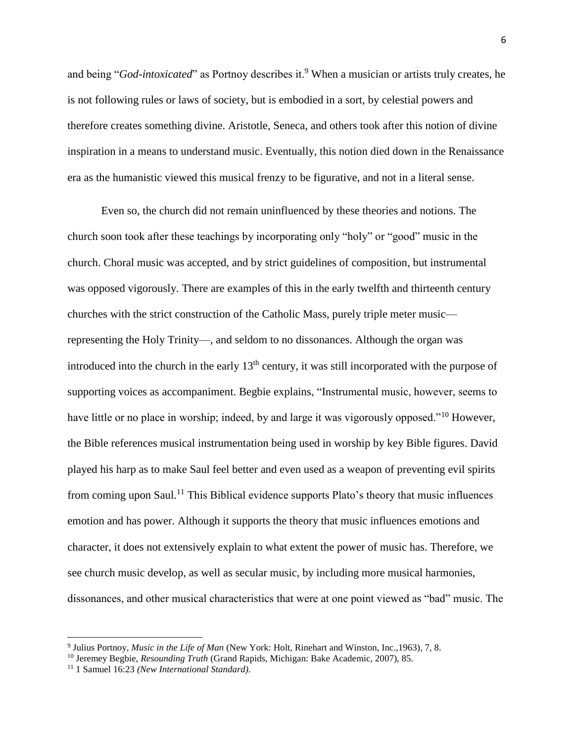and being "*God-intoxicated*" as Portnoy describes it.<sup>9</sup> When a musician or artists truly creates, he is not following rules or laws of society, but is embodied in a sort, by celestial powers and therefore creates something divine. Aristotle, Seneca, and others took after this notion of divine inspiration in a means to understand music. Eventually, this notion died down in the Renaissance era as the humanistic viewed this musical frenzy to be figurative, and not in a literal sense.

Even so, the church did not remain uninfluenced by these theories and notions. The church soon took after these teachings by incorporating only "holy" or "good" music in the church. Choral music was accepted, and by strict guidelines of composition, but instrumental was opposed vigorously. There are examples of this in the early twelfth and thirteenth century churches with the strict construction of the Catholic Mass, purely triple meter music representing the Holy Trinity—, and seldom to no dissonances. Although the organ was introduced into the church in the early  $13<sup>th</sup>$  century, it was still incorporated with the purpose of supporting voices as accompaniment. Begbie explains, "Instrumental music, however, seems to have little or no place in worship; indeed, by and large it was vigorously opposed."<sup>10</sup> However, the Bible references musical instrumentation being used in worship by key Bible figures. David played his harp as to make Saul feel better and even used as a weapon of preventing evil spirits from coming upon Saul.<sup>11</sup> This Biblical evidence supports Plato's theory that music influences emotion and has power. Although it supports the theory that music influences emotions and character, it does not extensively explain to what extent the power of music has. Therefore, we see church music develop, as well as secular music, by including more musical harmonies, dissonances, and other musical characteristics that were at one point viewed as "bad" music. The

<sup>9</sup> Julius Portnoy, *Music in the Life of Man* (New York: Holt, Rinehart and Winston, Inc.,1963), 7, 8.

<sup>10</sup> Jeremey Begbie, *Resounding Truth* (Grand Rapids, Michigan: Bake Academic, 2007), 85.

<sup>11</sup> 1 Samuel 16:23 *(New International Standard).*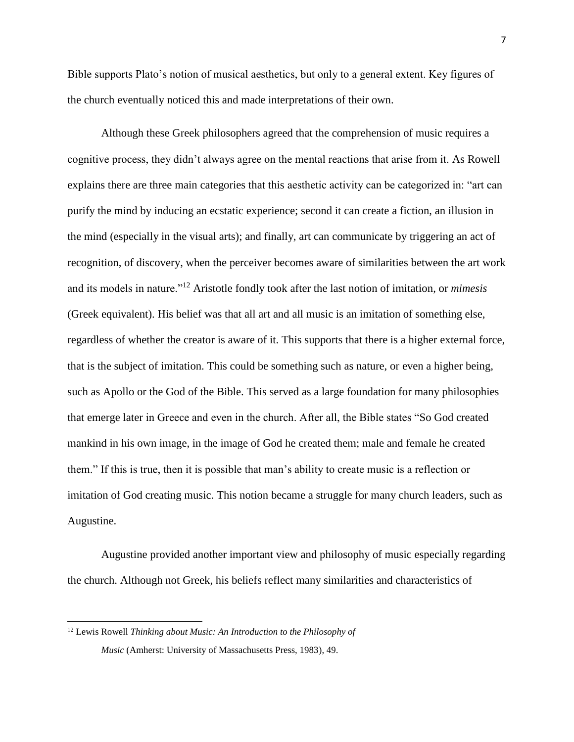Bible supports Plato's notion of musical aesthetics, but only to a general extent. Key figures of the church eventually noticed this and made interpretations of their own.

Although these Greek philosophers agreed that the comprehension of music requires a cognitive process, they didn't always agree on the mental reactions that arise from it. As Rowell explains there are three main categories that this aesthetic activity can be categorized in: "art can purify the mind by inducing an ecstatic experience; second it can create a fiction, an illusion in the mind (especially in the visual arts); and finally, art can communicate by triggering an act of recognition, of discovery, when the perceiver becomes aware of similarities between the art work and its models in nature."<sup>12</sup> Aristotle fondly took after the last notion of imitation, or *mimesis*  (Greek equivalent). His belief was that all art and all music is an imitation of something else, regardless of whether the creator is aware of it. This supports that there is a higher external force, that is the subject of imitation. This could be something such as nature, or even a higher being, such as Apollo or the God of the Bible. This served as a large foundation for many philosophies that emerge later in Greece and even in the church. After all, the Bible states "So God created mankind in his own image, in the image of God he created them; male and female he created them." If this is true, then it is possible that man's ability to create music is a reflection or imitation of God creating music. This notion became a struggle for many church leaders, such as Augustine.

Augustine provided another important view and philosophy of music especially regarding the church. Although not Greek, his beliefs reflect many similarities and characteristics of

<sup>12</sup> Lewis Rowell *Thinking about Music: An Introduction to the Philosophy of Music* (Amherst: University of Massachusetts Press, 1983), 49.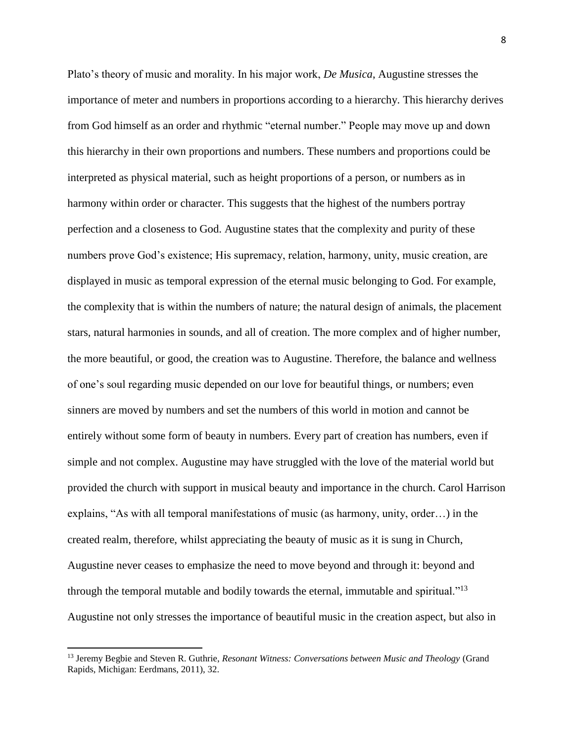Plato's theory of music and morality. In his major work, *De Musica*, Augustine stresses the importance of meter and numbers in proportions according to a hierarchy. This hierarchy derives from God himself as an order and rhythmic "eternal number." People may move up and down this hierarchy in their own proportions and numbers. These numbers and proportions could be interpreted as physical material, such as height proportions of a person, or numbers as in harmony within order or character. This suggests that the highest of the numbers portray perfection and a closeness to God. Augustine states that the complexity and purity of these numbers prove God's existence; His supremacy, relation, harmony, unity, music creation, are displayed in music as temporal expression of the eternal music belonging to God. For example, the complexity that is within the numbers of nature; the natural design of animals, the placement stars, natural harmonies in sounds, and all of creation. The more complex and of higher number, the more beautiful, or good, the creation was to Augustine. Therefore, the balance and wellness of one's soul regarding music depended on our love for beautiful things, or numbers; even sinners are moved by numbers and set the numbers of this world in motion and cannot be entirely without some form of beauty in numbers. Every part of creation has numbers, even if simple and not complex. Augustine may have struggled with the love of the material world but provided the church with support in musical beauty and importance in the church. Carol Harrison explains, "As with all temporal manifestations of music (as harmony, unity, order…) in the created realm, therefore, whilst appreciating the beauty of music as it is sung in Church, Augustine never ceases to emphasize the need to move beyond and through it: beyond and through the temporal mutable and bodily towards the eternal, immutable and spiritual."<sup>13</sup> Augustine not only stresses the importance of beautiful music in the creation aspect, but also in

<sup>13</sup> Jeremy Begbie and Steven R. Guthrie, *Resonant Witness: Conversations between Music and Theology* (Grand Rapids, Michigan: Eerdmans, 2011), 32.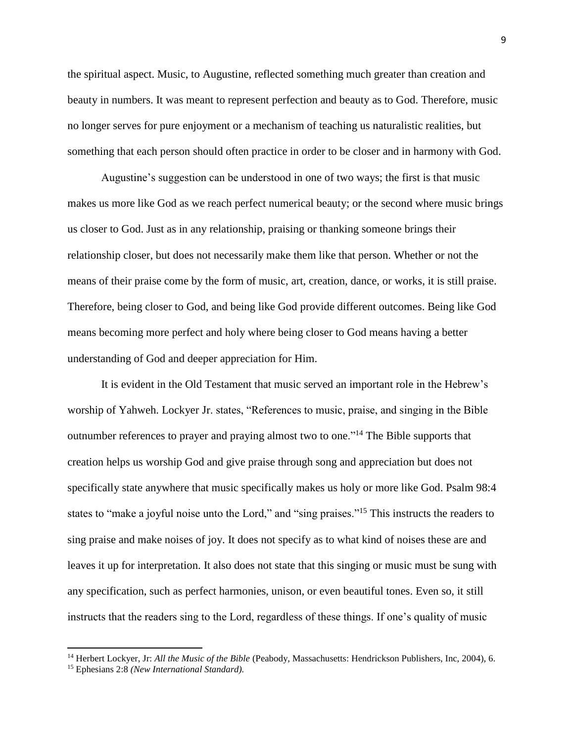the spiritual aspect. Music, to Augustine, reflected something much greater than creation and beauty in numbers. It was meant to represent perfection and beauty as to God. Therefore, music no longer serves for pure enjoyment or a mechanism of teaching us naturalistic realities, but something that each person should often practice in order to be closer and in harmony with God.

Augustine's suggestion can be understood in one of two ways; the first is that music makes us more like God as we reach perfect numerical beauty; or the second where music brings us closer to God. Just as in any relationship, praising or thanking someone brings their relationship closer, but does not necessarily make them like that person. Whether or not the means of their praise come by the form of music, art, creation, dance, or works, it is still praise. Therefore, being closer to God, and being like God provide different outcomes. Being like God means becoming more perfect and holy where being closer to God means having a better understanding of God and deeper appreciation for Him.

It is evident in the Old Testament that music served an important role in the Hebrew's worship of Yahweh. Lockyer Jr. states, "References to music, praise, and singing in the Bible outnumber references to prayer and praying almost two to one."<sup>14</sup> The Bible supports that creation helps us worship God and give praise through song and appreciation but does not specifically state anywhere that music specifically makes us holy or more like God. Psalm 98:4 states to "make a joyful noise unto the Lord," and "sing praises."<sup>15</sup> This instructs the readers to sing praise and make noises of joy. It does not specify as to what kind of noises these are and leaves it up for interpretation. It also does not state that this singing or music must be sung with any specification, such as perfect harmonies, unison, or even beautiful tones. Even so, it still instructs that the readers sing to the Lord, regardless of these things. If one's quality of music

<sup>14</sup> Herbert Lockyer, Jr: *All the Music of the Bible* (Peabody, Massachusetts: Hendrickson Publishers, Inc, 2004), 6.

<sup>15</sup> Ephesians 2:8 *(New International Standard).*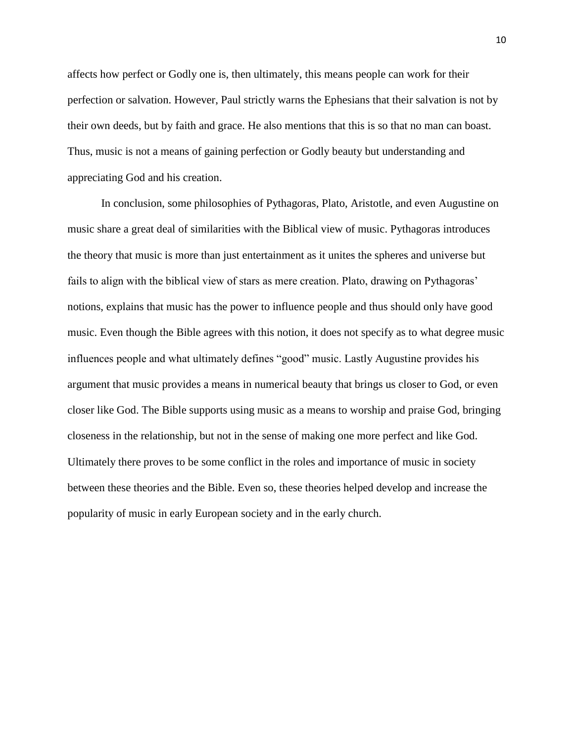affects how perfect or Godly one is, then ultimately, this means people can work for their perfection or salvation. However, Paul strictly warns the Ephesians that their salvation is not by their own deeds, but by faith and grace. He also mentions that this is so that no man can boast. Thus, music is not a means of gaining perfection or Godly beauty but understanding and appreciating God and his creation.

In conclusion, some philosophies of Pythagoras, Plato, Aristotle, and even Augustine on music share a great deal of similarities with the Biblical view of music. Pythagoras introduces the theory that music is more than just entertainment as it unites the spheres and universe but fails to align with the biblical view of stars as mere creation. Plato, drawing on Pythagoras' notions, explains that music has the power to influence people and thus should only have good music. Even though the Bible agrees with this notion, it does not specify as to what degree music influences people and what ultimately defines "good" music. Lastly Augustine provides his argument that music provides a means in numerical beauty that brings us closer to God, or even closer like God. The Bible supports using music as a means to worship and praise God, bringing closeness in the relationship, but not in the sense of making one more perfect and like God. Ultimately there proves to be some conflict in the roles and importance of music in society between these theories and the Bible. Even so, these theories helped develop and increase the popularity of music in early European society and in the early church.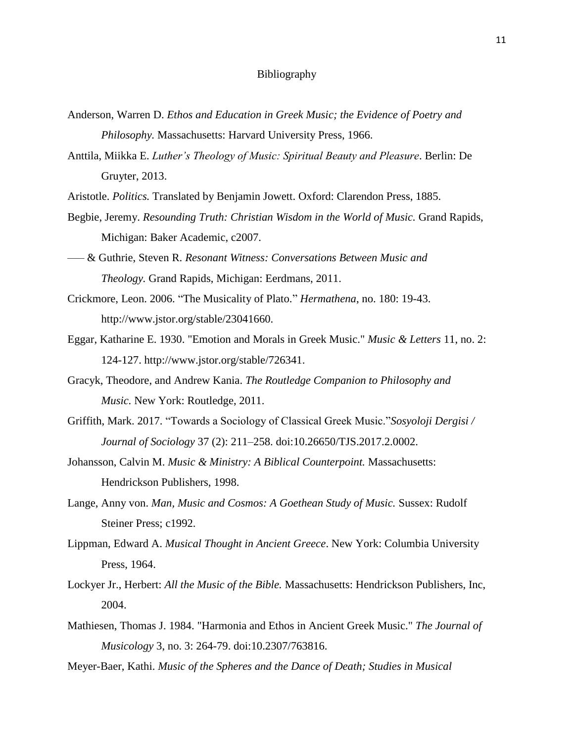## Bibliography

- Anderson, Warren D. *Ethos and Education in Greek Music; the Evidence of Poetry and Philosophy.* Massachusetts: Harvard University Press, 1966.
- Anttila, Miikka E. *Luther's Theology of Music: Spiritual Beauty and Pleasure*. Berlin: De Gruyter, 2013.
- Aristotle. *Politics.* Translated by Benjamin Jowett. Oxford: Clarendon Press, 1885.
- Begbie, Jeremy. *Resounding Truth: Christian Wisdom in the World of Music.* Grand Rapids, Michigan: Baker Academic, c2007.
- ––– & Guthrie, Steven R. *Resonant Witness: Conversations Between Music and Theology.* Grand Rapids, Michigan: Eerdmans, 2011.
- Crickmore, Leon. 2006. "The Musicality of Plato." *Hermathena*, no. 180: 19-43. http://www.jstor.org/stable/23041660.
- Eggar, Katharine E. 1930. "Emotion and Morals in Greek Music." *Music & Letters* 11, no. 2: 124-127. http://www.jstor.org/stable/726341.
- Gracyk, Theodore, and Andrew Kania. *The Routledge Companion to Philosophy and Music.* New York: Routledge, 2011[.](https://cedarville.ohionet.org/login?url=http://search.ebscohost.com/login.aspx?direct=true&db=cat02007a&AN=cedar.b1338986&site=eds-live)
- Griffith, Mark. 2017. "Towards a Sociology of Classical Greek Music."*Sosyoloji Dergisi / Journal of Sociology* 37 (2): 211–258. doi:10.26650/TJS.2017.2.0002.
- Johansson, Calvin M. *Music & Ministry: A Biblical Counterpoint.* Massachusetts: Hendrickson Publishers, 1998.
- Lange, Anny von. *Man, Music and Cosmos: A Goethean Study of Music.* Sussex: Rudolf Steiner Press; c1992.
- Lippman, Edward A. *Musical Thought in Ancient Greece*. New York: Columbia University Press, 1964.
- Lockyer Jr., Herbert: *All the Music of the Bible.* Massachusetts: Hendrickson Publishers, Inc, 2004.
- Mathiesen, Thomas J. 1984. "Harmonia and Ethos in Ancient Greek Music." *The Journal of Musicology* 3, no. 3: 264-79. doi:10.2307/763816.
- Meyer-Baer, Kathi. *Music of the Spheres and the Dance of Death; Studies in Musical*